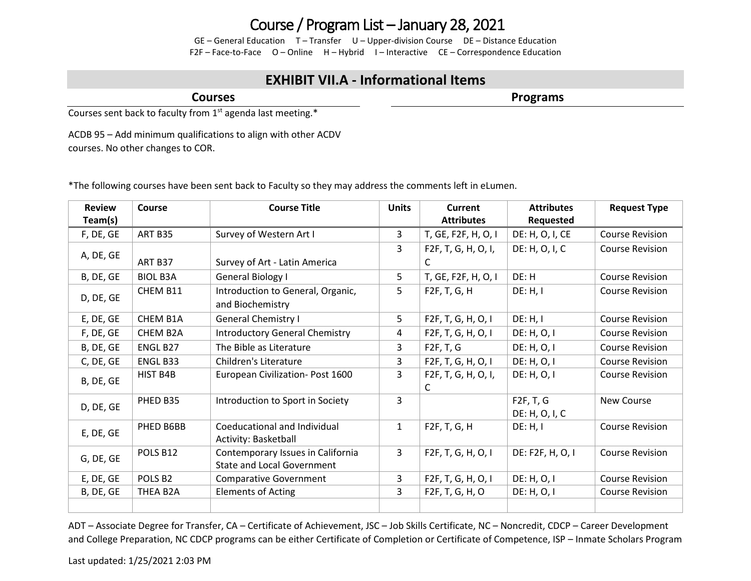## Course / Program List – January 28, 2021

GE – General Education T – Transfer U – Upper-division Course DE – Distance Education F2F – Face-to-Face O – Online H – Hybrid I – Interactive CE – Correspondence Education

## **EXHIBIT VII.A - Informational Items**

**Courses**

**Programs**

Courses sent back to faculty from  $1<sup>st</sup>$  agenda last meeting.\*

ACDB 95 – Add minimum qualifications to align with other ACDV courses. No other changes to COR.

\*The following courses have been sent back to Faculty so they may address the comments left in eLumen.

| <b>Review</b> | Course          | <b>Course Title</b>                                                    | <b>Units</b> | Current                   | <b>Attributes</b> | <b>Request Type</b>    |
|---------------|-----------------|------------------------------------------------------------------------|--------------|---------------------------|-------------------|------------------------|
| Team(s)       |                 |                                                                        |              | <b>Attributes</b>         | Requested         |                        |
| F, DE, GE     | ART B35         | Survey of Western Art I                                                | 3            | T, GE, F2F, H, O, I       | DE: H, O, I, CE   | <b>Course Revision</b> |
|               |                 |                                                                        | 3            | F2F, T, G, H, O, I,       | DE: H, O, I, C    | <b>Course Revision</b> |
| A, DE, GE     | ART B37         | Survey of Art - Latin America                                          |              | C                         |                   |                        |
| B, DE, GE     | <b>BIOL B3A</b> | General Biology I                                                      | 5            | T, GE, F2F, H, O, I       | DE: H             | <b>Course Revision</b> |
| D, DE, GE     | CHEM B11        | Introduction to General, Organic,                                      | 5            | F2F, T, G, H              | DE: H, I          | <b>Course Revision</b> |
|               |                 | and Biochemistry                                                       |              |                           |                   |                        |
| E, DE, GE     | CHEM B1A        | <b>General Chemistry I</b>                                             | 5            | F2F, T, G, H, O, I        | DE: H, I          | <b>Course Revision</b> |
| F, DE, GE     | CHEM B2A        | <b>Introductory General Chemistry</b>                                  | 4            | F2F, T, G, H, O, I        | DE: H, O, I       | <b>Course Revision</b> |
| B, DE, GE     | ENGL B27        | The Bible as Literature                                                | 3            | F2F, T, G                 | DE: H, O, I       | <b>Course Revision</b> |
| C, DE, GE     | ENGL B33        | Children's Literature                                                  | 3            | F2F, T, G, H, O, I        | DE: H, O, I       | <b>Course Revision</b> |
| B, DE, GE     | HIST B4B        | European Civilization- Post 1600                                       | 3            | F2F, T, G, H, O, I,<br>C. | DE: H, O, I       | <b>Course Revision</b> |
|               | PHED B35        | Introduction to Sport in Society                                       | 3            |                           | F2F, T, G         | New Course             |
| D, DE, GE     |                 |                                                                        |              |                           | DE: H, O, I, C    |                        |
| E, DE, GE     | PHED B6BB       | Coeducational and Individual<br>Activity: Basketball                   | $\mathbf{1}$ | F2F, T, G, H              | DE: H, I          | <b>Course Revision</b> |
| G, DE, GE     | POLS B12        | Contemporary Issues in California<br><b>State and Local Government</b> | 3            | F2F, T, G, H, O, I        | DE: F2F, H, O, I  | <b>Course Revision</b> |
| E, DE, GE     | POLS B2         | <b>Comparative Government</b>                                          | 3            | F2F, T, G, H, O, I        | DE: H, O, I       | <b>Course Revision</b> |
| B, DE, GE     | THEA B2A        | <b>Elements of Acting</b>                                              | 3            | F2F, T, G, H, O           | DE: H, O, I       | <b>Course Revision</b> |
|               |                 |                                                                        |              |                           |                   |                        |

ADT – Associate Degree for Transfer, CA – Certificate of Achievement, JSC – Job Skills Certificate, NC – Noncredit, CDCP – Career Development and College Preparation, NC CDCP programs can be either Certificate of Completion or Certificate of Competence, ISP – Inmate Scholars Program